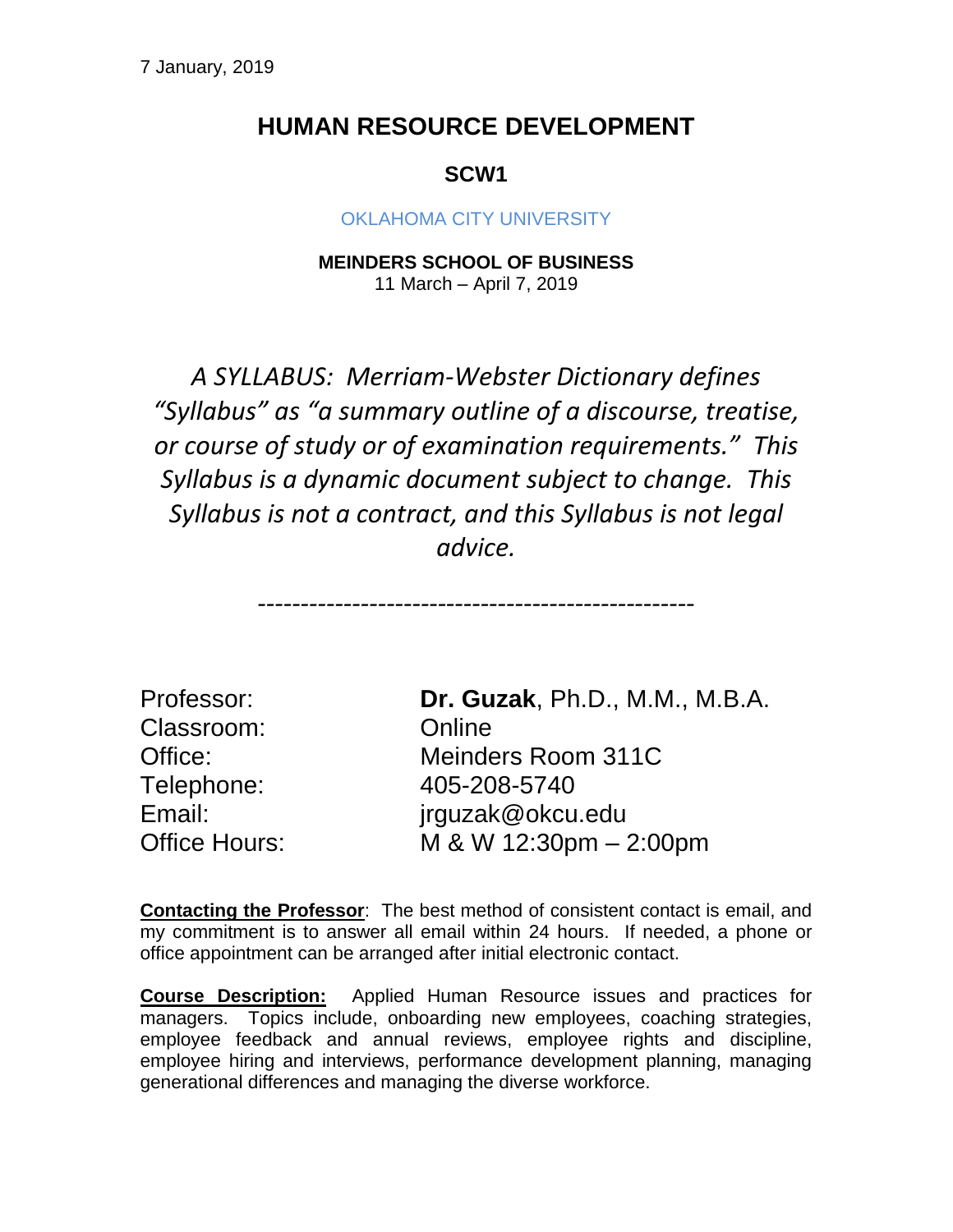## **HUMAN RESOURCE DEVELOPMENT**

## **SCW1**

### OKI AHOMA CITY UNIVERSITY

**MEINDERS SCHOOL OF BUSINESS** 11 March – April 7, 2019

*A SYLLABUS: Merriam-Webster Dictionary defines "Syllabus" as "a summary outline of a discourse, treatise, or course of study or of examination requirements." This Syllabus is a dynamic document subject to change. This Syllabus is not a contract, and this Syllabus is not legal advice.*

*---------------------------------------------------*

Classroom: Online Telephone: 405-208-5740

Professor: **Dr. Guzak**, Ph.D., M.M., M.B.A. Office: Meinders Room 311C Email: jrguzak@okcu.edu Office Hours: M & W 12:30pm – 2:00pm

**Contacting the Professor**: The best method of consistent contact is email, and my commitment is to answer all email within 24 hours. If needed, a phone or office appointment can be arranged after initial electronic contact.

**Course Description:** Applied Human Resource issues and practices for managers. Topics include, onboarding new employees, coaching strategies, employee feedback and annual reviews, employee rights and discipline, employee hiring and interviews, performance development planning, managing generational differences and managing the diverse workforce.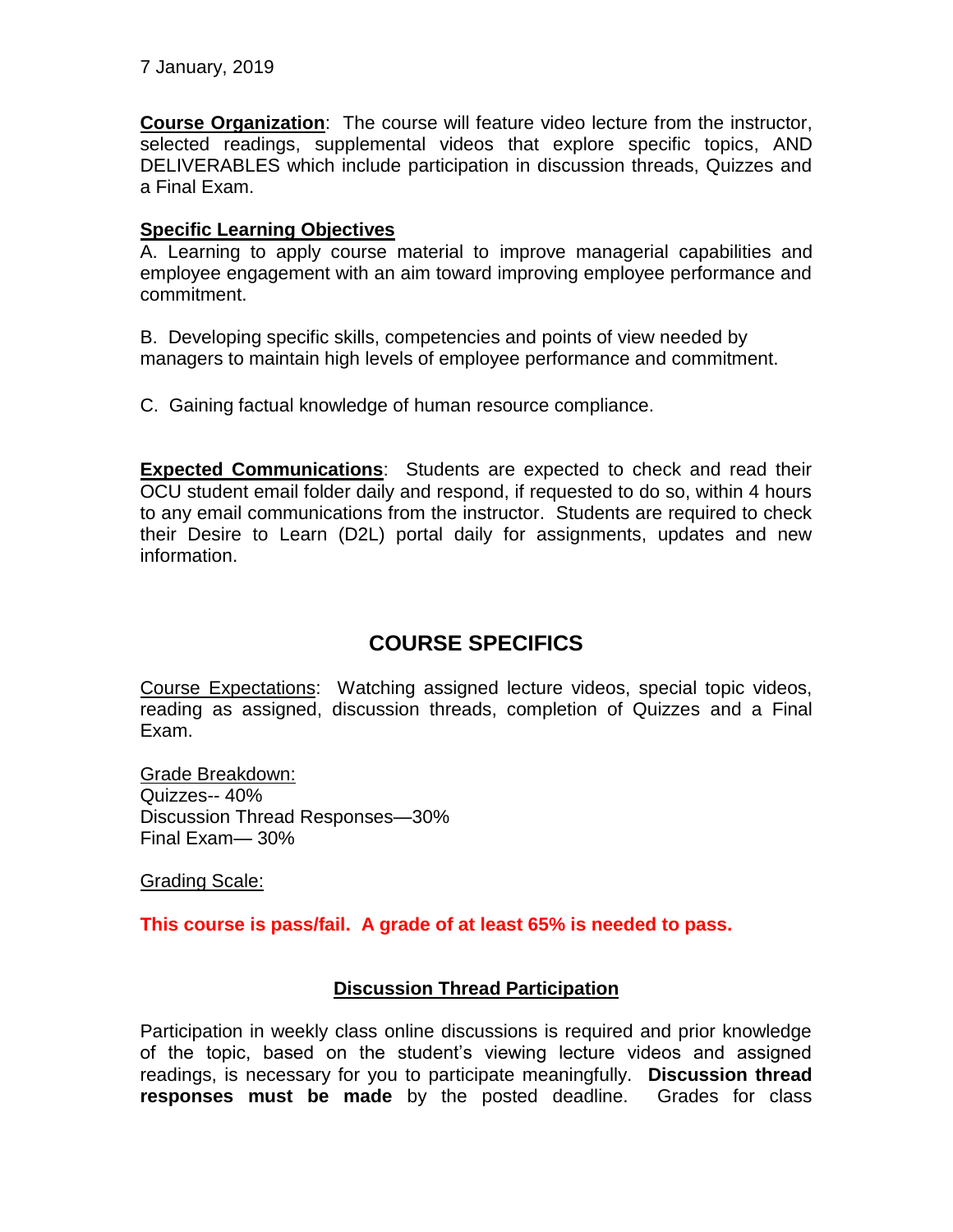7 January, 2019

**Course Organization**: The course will feature video lecture from the instructor, selected readings, supplemental videos that explore specific topics, AND DELIVERABLES which include participation in discussion threads, Quizzes and a Final Exam.

#### **Specific Learning Objectives**

A. Learning to apply course material to improve managerial capabilities and employee engagement with an aim toward improving employee performance and commitment.

B. Developing specific skills, competencies and points of view needed by managers to maintain high levels of employee performance and commitment.

C. Gaining factual knowledge of human resource compliance.

**Expected Communications**: Students are expected to check and read their OCU student email folder daily and respond, if requested to do so, within 4 hours to any email communications from the instructor. Students are required to check their Desire to Learn (D2L) portal daily for assignments, updates and new information.

## **COURSE SPECIFICS**

Course Expectations: Watching assigned lecture videos, special topic videos, reading as assigned, discussion threads, completion of Quizzes and a Final Exam.

Grade Breakdown: Quizzes-- 40% Discussion Thread Responses—30% Final Exam— 30%

Grading Scale:

**This course is pass/fail. A grade of at least 65% is needed to pass.**

### **Discussion Thread Participation**

Participation in weekly class online discussions is required and prior knowledge of the topic, based on the student's viewing lecture videos and assigned readings, is necessary for you to participate meaningfully. **Discussion thread responses must be made** by the posted deadline. Grades for class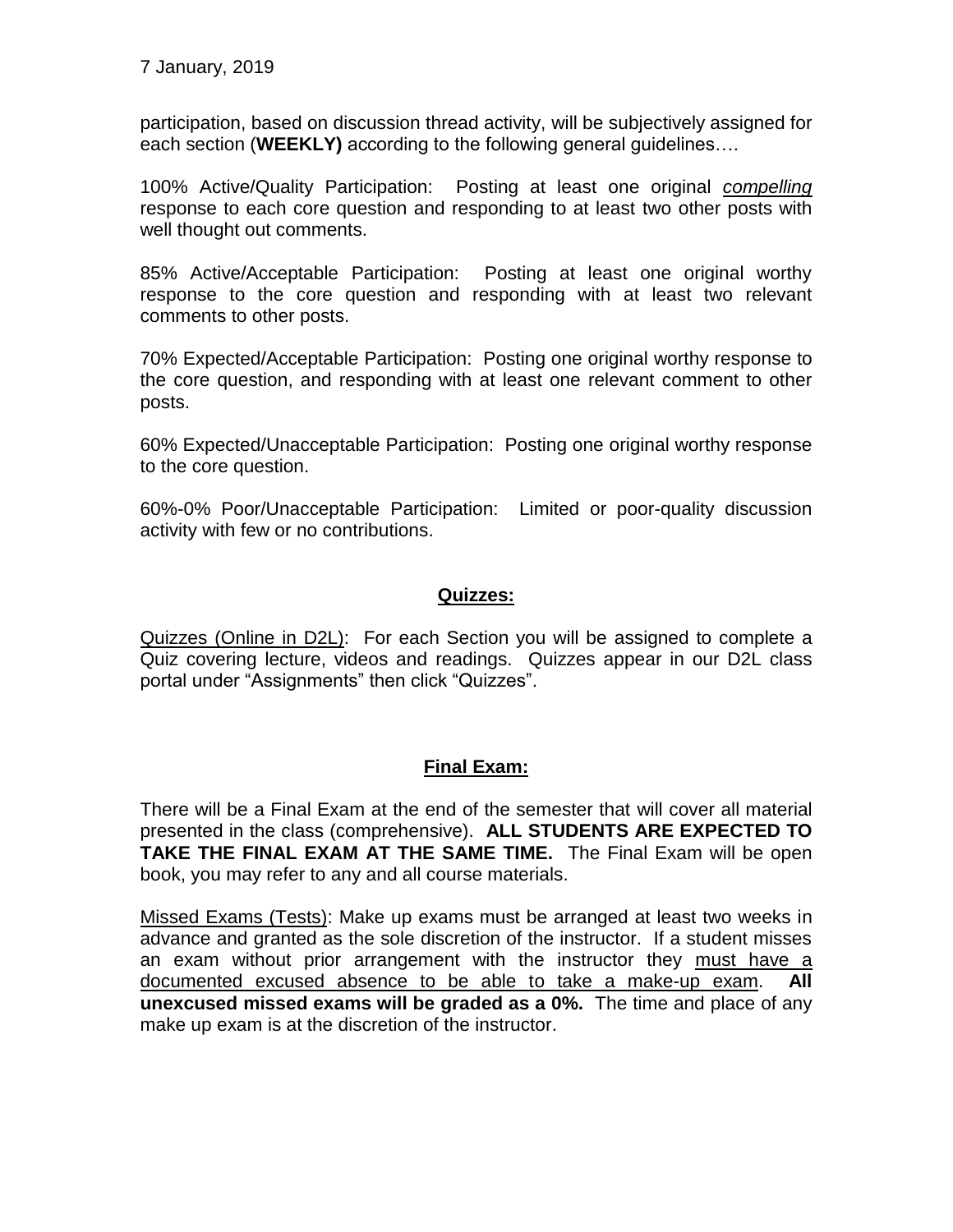7 January, 2019

participation, based on discussion thread activity, will be subjectively assigned for each section (**WEEKLY)** according to the following general guidelines….

100% Active/Quality Participation: Posting at least one original *compelling* response to each core question and responding to at least two other posts with well thought out comments.

85% Active/Acceptable Participation: Posting at least one original worthy response to the core question and responding with at least two relevant comments to other posts.

70% Expected/Acceptable Participation: Posting one original worthy response to the core question, and responding with at least one relevant comment to other posts.

60% Expected/Unacceptable Participation: Posting one original worthy response to the core question.

60%-0% Poor/Unacceptable Participation: Limited or poor-quality discussion activity with few or no contributions.

### **Quizzes:**

Quizzes (Online in D2L): For each Section you will be assigned to complete a Quiz covering lecture, videos and readings. Quizzes appear in our D2L class portal under "Assignments" then click "Quizzes".

### **Final Exam:**

There will be a Final Exam at the end of the semester that will cover all material presented in the class (comprehensive). **ALL STUDENTS ARE EXPECTED TO TAKE THE FINAL EXAM AT THE SAME TIME.** The Final Exam will be open book, you may refer to any and all course materials.

Missed Exams (Tests): Make up exams must be arranged at least two weeks in advance and granted as the sole discretion of the instructor. If a student misses an exam without prior arrangement with the instructor they must have a documented excused absence to be able to take a make-up exam. **All unexcused missed exams will be graded as a 0%.** The time and place of any make up exam is at the discretion of the instructor.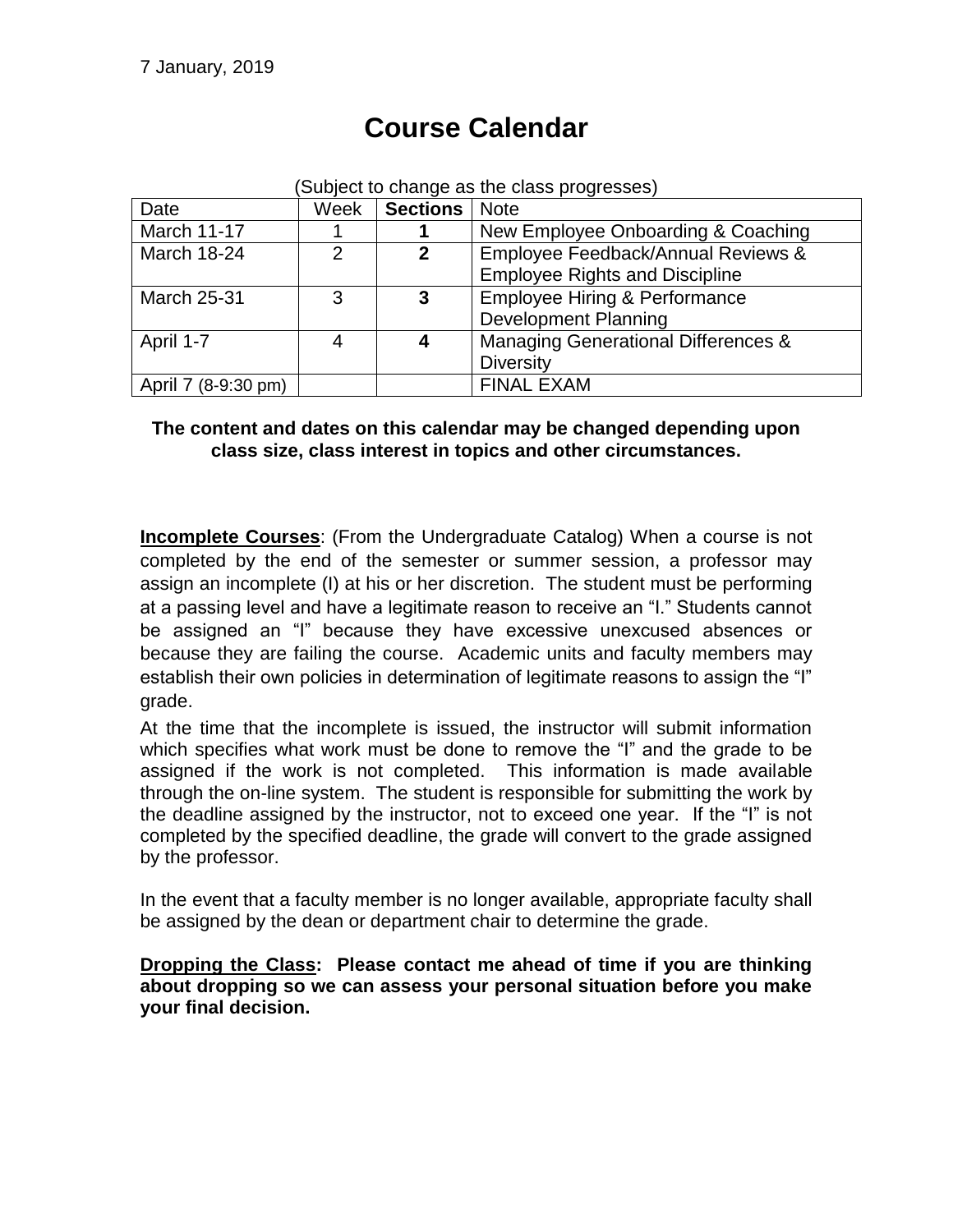| (Subject to change as the class progresses) |      |                 |                                                |
|---------------------------------------------|------|-----------------|------------------------------------------------|
| Date                                        | Week | Sections   Note |                                                |
| <b>March 11-17</b>                          |      |                 | New Employee Onboarding & Coaching             |
| <b>March 18-24</b>                          | っ    | $\mathbf{2}$    | Employee Feedback/Annual Reviews &             |
|                                             |      |                 | <b>Employee Rights and Discipline</b>          |
| <b>March 25-31</b>                          | З    | $\mathbf{3}$    | <b>Employee Hiring &amp; Performance</b>       |
|                                             |      |                 | <b>Development Planning</b>                    |
| April 1-7                                   |      | 4               | <b>Managing Generational Differences &amp;</b> |
|                                             |      |                 | <b>Diversity</b>                               |
| April 7 (8-9:30 pm)                         |      |                 | <b>FINAL EXAM</b>                              |

# **Course Calendar**

### **The content and dates on this calendar may be changed depending upon class size, class interest in topics and other circumstances.**

**Incomplete Courses**: (From the Undergraduate Catalog) When a course is not completed by the end of the semester or summer session, a professor may assign an incomplete (I) at his or her discretion. The student must be performing at a passing level and have a legitimate reason to receive an "I." Students cannot be assigned an "I" because they have excessive unexcused absences or because they are failing the course. Academic units and faculty members may establish their own policies in determination of legitimate reasons to assign the "I" grade.

At the time that the incomplete is issued, the instructor will submit information which specifies what work must be done to remove the "I" and the grade to be assigned if the work is not completed. This information is made available through the on-line system. The student is responsible for submitting the work by the deadline assigned by the instructor, not to exceed one year. If the "I" is not completed by the specified deadline, the grade will convert to the grade assigned by the professor.

In the event that a faculty member is no longer available, appropriate faculty shall be assigned by the dean or department chair to determine the grade.

**Dropping the Class: Please contact me ahead of time if you are thinking about dropping so we can assess your personal situation before you make your final decision.**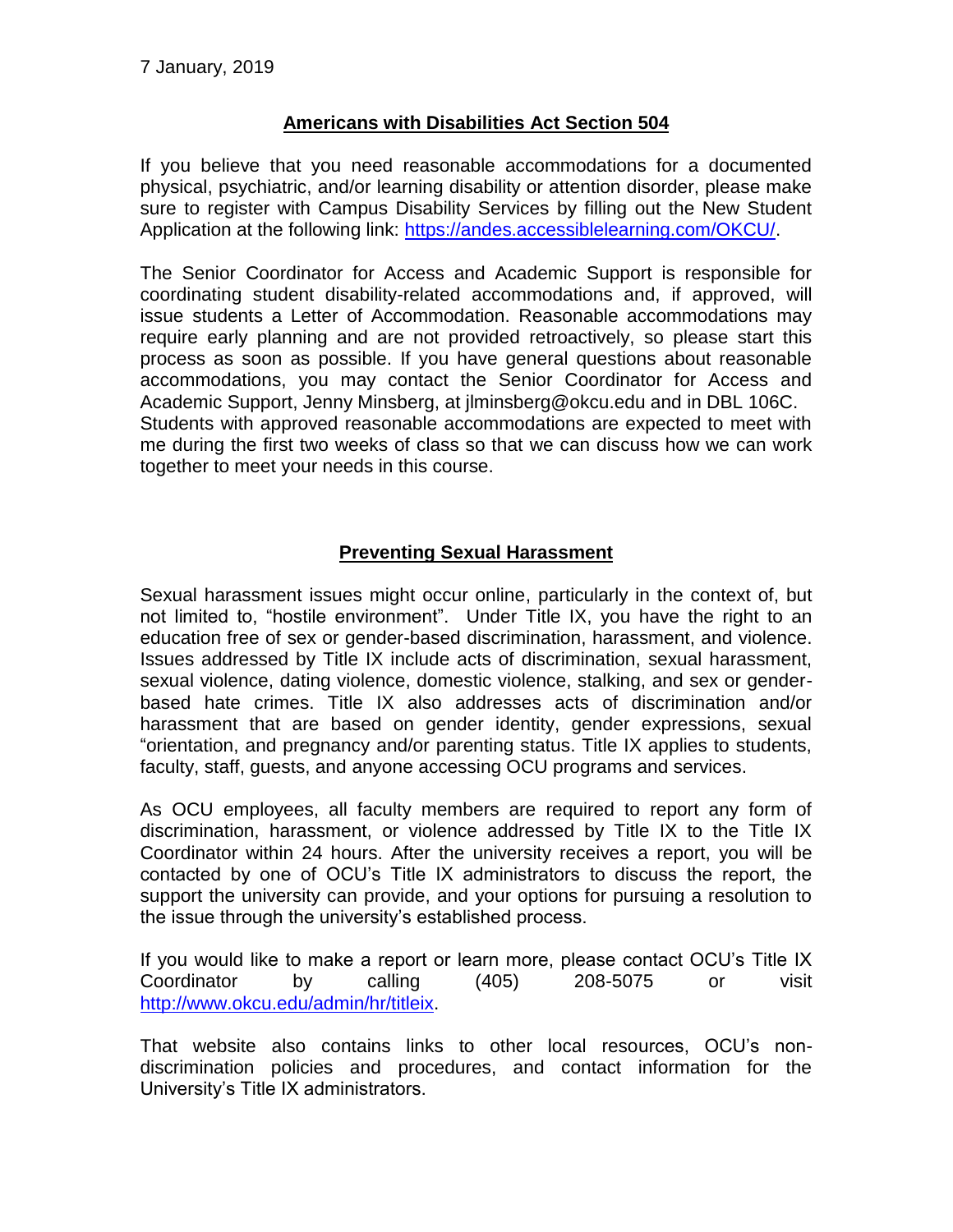### **Americans with Disabilities Act Section 504**

If you believe that you need reasonable accommodations for a documented physical, psychiatric, and/or learning disability or attention disorder, please make sure to register with Campus Disability Services by filling out the New Student Application at the following link: [https://andes.accessiblelearning.com/OKCU/.](https://andes.accessiblelearning.com/OKCU/)

The Senior Coordinator for Access and Academic Support is responsible for coordinating student disability-related accommodations and, if approved, will issue students a Letter of Accommodation. Reasonable accommodations may require early planning and are not provided retroactively, so please start this process as soon as possible. If you have general questions about reasonable accommodations, you may contact the Senior Coordinator for Access and Academic Support, Jenny Minsberg, at jlminsberg@okcu.edu and in DBL 106C. Students with approved reasonable accommodations are expected to meet with me during the first two weeks of class so that we can discuss how we can work together to meet your needs in this course.

### **Preventing Sexual Harassment**

Sexual harassment issues might occur online, particularly in the context of, but not limited to, "hostile environment". Under Title IX, you have the right to an education free of sex or gender-based discrimination, harassment, and violence. Issues addressed by Title IX include acts of discrimination, sexual harassment, sexual violence, dating violence, domestic violence, stalking, and sex or genderbased hate crimes. Title IX also addresses acts of discrimination and/or harassment that are based on gender identity, gender expressions, sexual "orientation, and pregnancy and/or parenting status. Title IX applies to students, faculty, staff, guests, and anyone accessing OCU programs and services.

As OCU employees, all faculty members are required to report any form of discrimination, harassment, or violence addressed by Title IX to the Title IX Coordinator within 24 hours. After the university receives a report, you will be contacted by one of OCU's Title IX administrators to discuss the report, the support the university can provide, and your options for pursuing a resolution to the issue through the university's established process.

If you would like to make a report or learn more, please contact OCU's Title IX Coordinator by calling (405) 208-5075 or visit [http://www.okcu.edu/admin/hr/titleix.](http://www.okcu.edu/admin/hr/titleix)

That website also contains links to other local resources, OCU's nondiscrimination policies and procedures, and contact information for the University's Title IX administrators.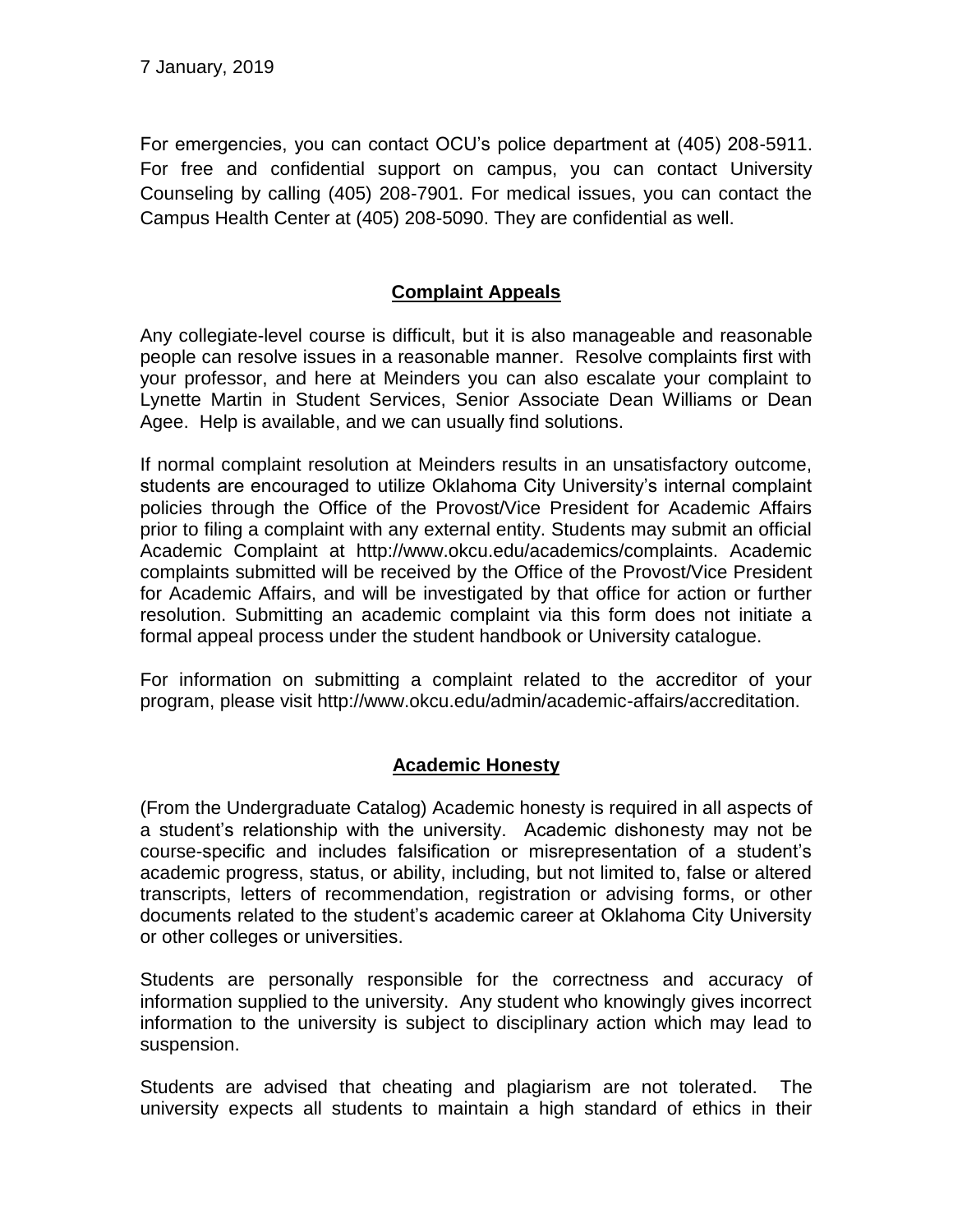For emergencies, you can contact OCU's police department at (405) 208-5911. For free and confidential support on campus, you can contact University Counseling by calling (405) 208-7901. For medical issues, you can contact the Campus Health Center at (405) 208-5090. They are confidential as well.

### **Complaint Appeals**

Any collegiate-level course is difficult, but it is also manageable and reasonable people can resolve issues in a reasonable manner. Resolve complaints first with your professor, and here at Meinders you can also escalate your complaint to Lynette Martin in Student Services, Senior Associate Dean Williams or Dean Agee. Help is available, and we can usually find solutions.

If normal complaint resolution at Meinders results in an unsatisfactory outcome, students are encouraged to utilize Oklahoma City University's internal complaint policies through the Office of the Provost/Vice President for Academic Affairs prior to filing a complaint with any external entity. Students may submit an official Academic Complaint at http://www.okcu.edu/academics/complaints. Academic complaints submitted will be received by the Office of the Provost/Vice President for Academic Affairs, and will be investigated by that office for action or further resolution. Submitting an academic complaint via this form does not initiate a formal appeal process under the student handbook or University catalogue.

For information on submitting a complaint related to the accreditor of your program, please visit http://www.okcu.edu/admin/academic-affairs/accreditation.

### **Academic Honesty**

(From the Undergraduate Catalog) Academic honesty is required in all aspects of a student's relationship with the university. Academic dishonesty may not be course-specific and includes falsification or misrepresentation of a student's academic progress, status, or ability, including, but not limited to, false or altered transcripts, letters of recommendation, registration or advising forms, or other documents related to the student's academic career at Oklahoma City University or other colleges or universities.

Students are personally responsible for the correctness and accuracy of information supplied to the university. Any student who knowingly gives incorrect information to the university is subject to disciplinary action which may lead to suspension.

Students are advised that cheating and plagiarism are not tolerated. The university expects all students to maintain a high standard of ethics in their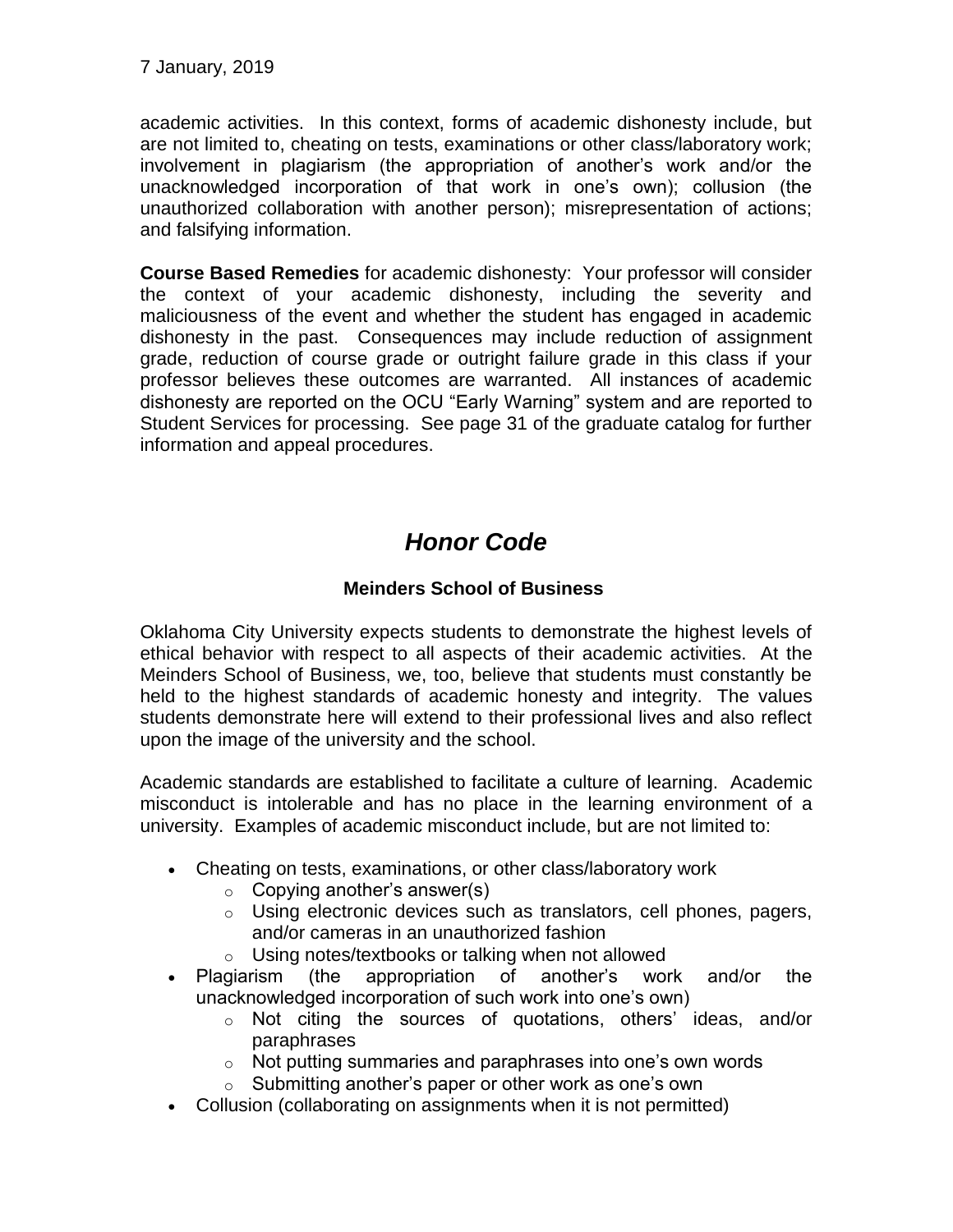7 January, 2019

academic activities. In this context, forms of academic dishonesty include, but are not limited to, cheating on tests, examinations or other class/laboratory work; involvement in plagiarism (the appropriation of another's work and/or the unacknowledged incorporation of that work in one's own); collusion (the unauthorized collaboration with another person); misrepresentation of actions; and falsifying information.

**Course Based Remedies** for academic dishonesty: Your professor will consider the context of your academic dishonesty, including the severity and maliciousness of the event and whether the student has engaged in academic dishonesty in the past. Consequences may include reduction of assignment grade, reduction of course grade or outright failure grade in this class if your professor believes these outcomes are warranted. All instances of academic dishonesty are reported on the OCU "Early Warning" system and are reported to Student Services for processing. See page 31 of the graduate catalog for further information and appeal procedures.

# *Honor Code*

### **Meinders School of Business**

Oklahoma City University expects students to demonstrate the highest levels of ethical behavior with respect to all aspects of their academic activities. At the Meinders School of Business, we, too, believe that students must constantly be held to the highest standards of academic honesty and integrity. The values students demonstrate here will extend to their professional lives and also reflect upon the image of the university and the school.

Academic standards are established to facilitate a culture of learning. Academic misconduct is intolerable and has no place in the learning environment of a university. Examples of academic misconduct include, but are not limited to:

- Cheating on tests, examinations, or other class/laboratory work
	- o Copying another's answer(s)
	- o Using electronic devices such as translators, cell phones, pagers, and/or cameras in an unauthorized fashion
	- o Using notes/textbooks or talking when not allowed
- Plagiarism (the appropriation of another's work and/or the unacknowledged incorporation of such work into one's own)
	- o Not citing the sources of quotations, others' ideas, and/or paraphrases
	- o Not putting summaries and paraphrases into one's own words
	- o Submitting another's paper or other work as one's own
- Collusion (collaborating on assignments when it is not permitted)